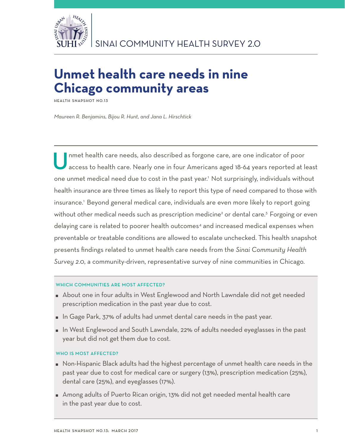

# **Unmet health care needs in nine Chicago community areas**

**Health Snapshot No.13**

*Maureen R. Benjamins, Bijou R. Hunt, and Jana L. Hirschtick*

Unmet health care needs, also described as forgone care, are one indicator of poor access to health care. Nearly one in four Americans aged 18-64 years reported at least one unmet medical need due to cost in the past year.<sup>1</sup> Not surprisingly, individuals without health insurance are three times as likely to report this type of need compared to those with insurance.1 Beyond general medical care, individuals are even more likely to report going without other medical needs such as prescription medicine<sup>2</sup> or dental care.<sup>3</sup> Forgoing or even delaying care is related to poorer health outcomes<sup>4</sup> and increased medical expenses when preventable or treatable conditions are allowed to escalate unchecked. This health snapshot presents findings related to unmet health care needs from the *Sinai Community Health Survey 2.0*, a community-driven, representative survey of nine communities in Chicago.

#### WHICH COMMUNITIES ARE MOST AFFECTED?

- About one in four adults in West Englewood and North Lawndale did not get needed prescription medication in the past year due to cost.
- In Gage Park, 37% of adults had unmet dental care needs in the past year.
- In West Englewood and South Lawndale, 22% of adults needed eyeglasses in the past year but did not get them due to cost.

#### WHO IS MOST AFFECTED?

- Non-Hispanic Black adults had the highest percentage of unmet health care needs in the past year due to cost for medical care or surgery (13%), prescription medication (25%), dental care (25%), and eyeglasses (17%).
- Among adults of Puerto Rican origin, 13% did not get needed mental health care in the past year due to cost.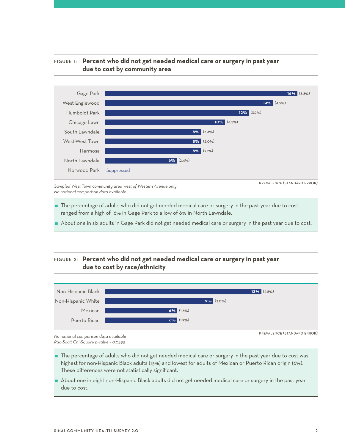



*Sampled West Town community area west of Western Avenue only No national comparison data available* 

prevalence (standard error)

- The percentage of adults who did not get needed medical care or surgery in the past year due to cost ranged from a high of 16% in Gage Park to a low of 6% in North Lawndale.
- About one in six adults in Gage Park did not get needed medical care or surgery in the past year due to cost.

## Figure 2: **Percent who did not get needed medical care or surgery in past year due to cost by race/ethnicity**



*No national comparison data available Rao-Scott Chi-Square p-value = 0.0593*

- The percentage of adults who did not get needed medical care or surgery in the past year due to cost was highest for non-Hispanic Black adults (13%) and lowest for adults of Mexican or Puerto Rican origin (6%). These differences were not statistically significant.
- About one in eight non-Hispanic Black adults did not get needed medical care or surgery in the past year due to cost.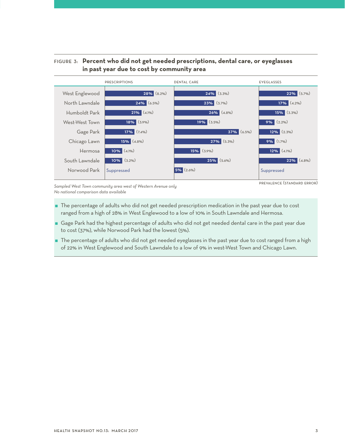## Figure 3: **Percent who did not get needed prescriptions, dental care, or eyeglasses in past year due to cost by community area**



*Sampled West Town community area west of Western Avenue only No national comparison data available*

prevalence (standard error)

- The percentage of adults who did not get needed prescription medication in the past year due to cost ranged from a high of 28% in West Englewood to a low of 10% in South Lawndale and Hermosa.
- Gage Park had the highest percentage of adults who did not get needed dental care in the past year due to cost (37%), while Norwood Park had the lowest (5%).
- The percentage of adults who did not get needed eyeglasses in the past year due to cost ranged from a high of 22% in West Englewood and South Lawndale to a low of 9% in west-West Town and Chicago Lawn.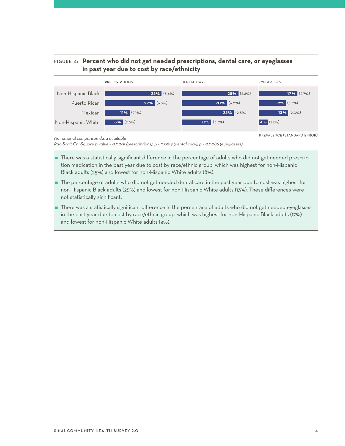## Figure 4: **Percent who did not get needed prescriptions, dental care, or eyeglasses in past year due to cost by race/ethnicity**

| <b>PRESCRIPTIONS</b> |                 | <b>DENTAL CARE</b> | EYEGLASSES       |  |
|----------------------|-----------------|--------------------|------------------|--|
| Non-Hispanic Black   | $25\%$ (3.4%)   | 25% (2.8%)         | $17\%$ $(2.7\%)$ |  |
| Puerto Rican         | $22\%$ (6.3%)   | $20\%$ (6.0%)      | $12\%$ (5.3%)    |  |
| Mexican              | $11\%$ (2.1%)   | $23\%$ (2.8%)      | $13\%$ (2.0%)    |  |
| Non-Hispanic White   | $8\%$ $(2.6\%)$ | $13\%$ (3.3%)      | $4\%$ (1.2%)     |  |
|                      |                 |                    |                  |  |

*No national comparison data available*

*Rao-Scott Chi-Square p-value = 0.0001 (prescriptions); p = 0.0819 (dental care); p = 0.0086 (eyeglasses)*

- There was a statistically significant difference in the percentage of adults who did not get needed prescription medication in the past year due to cost by race/ethnic group, which was highest for non-Hispanic Black adults (25%) and lowest for non-Hispanic White adults (8%).
- The percentage of adults who did not get needed dental care in the past year due to cost was highest for non-Hispanic Black adults (25%) and lowest for non-Hispanic White adults (13%). These differences were not statistically significant.
- There was a statistically significant difference in the percentage of adults who did not get needed eyeglasses in the past year due to cost by race/ethnic group, which was highest for non-Hispanic Black adults (17%) and lowest for non-Hispanic White adults (4%).

prevalence (standard error)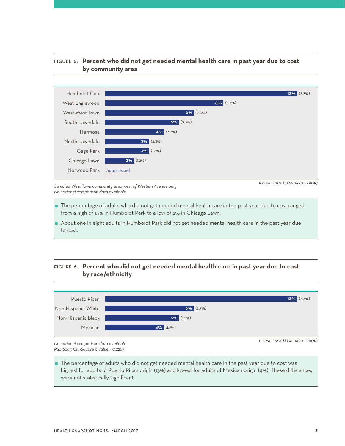### Figure 5: **Percent who did not get needed mental health care in past year due to cost by community area**



*Sampled West Town community area west of Western Avenue only No national comparison data available* 

prevalence (standard error)

- The percentage of adults who did not get needed mental health care in the past year due to cost ranged from a high of 13% in Humboldt Park to a low of 2% in Chicago Lawn.
- About one in eight adults in Humboldt Park did not get needed mental health care in the past year due to cost.

## Figure 6: **Percent who did not get needed mental health care in past year due to cost by race/ethnicity**



*No national comparison data available Rao-Scott Chi-Square p-value = 0.2285*

 The percentage of adults who did not get needed mental health care in the past year due to cost was highest for adults of Puerto Rican origin (13%) and lowest for adults of Mexican origin (4%). These differences were not statistically significant.